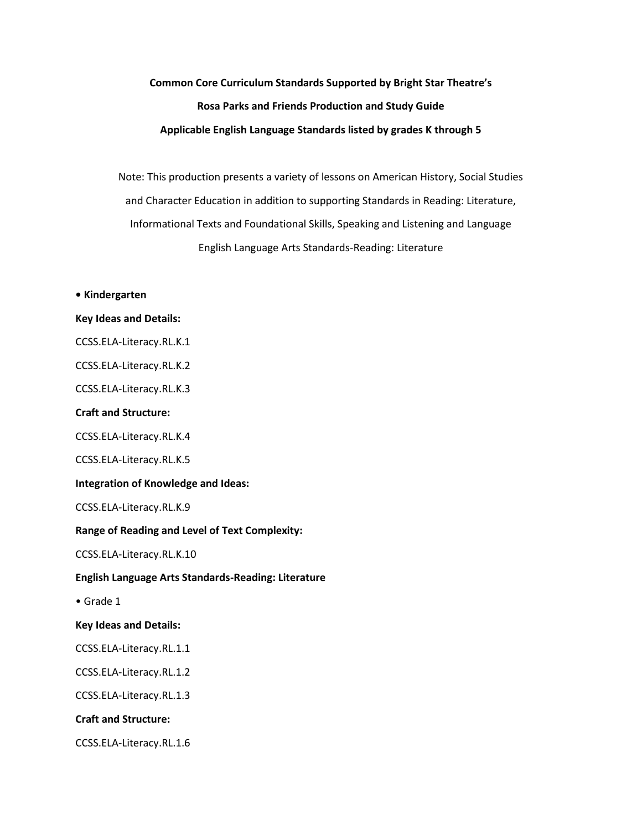# **Common Core Curriculum Standards Supported by Bright Star Theatre's Rosa Parks and Friends Production and Study Guide Applicable English Language Standards listed by grades K through 5**

Note: This production presents a variety of lessons on American History, Social Studies and Character Education in addition to supporting Standards in Reading: Literature, Informational Texts and Foundational Skills, Speaking and Listening and Language English Language Arts Standards-Reading: Literature

**• Kindergarten Key Ideas and Details:** CCSS.ELA-Literacy.RL.K.1 CCSS.ELA-Literacy.RL.K.2 CCSS.ELA-Literacy.RL.K.3 **Craft and Structure:** CCSS.ELA-Literacy.RL.K.4 CCSS.ELA-Literacy.RL.K.5 **Integration of Knowledge and Ideas:** CCSS.ELA-Literacy.RL.K.9 **Range of Reading and Level of Text Complexity:** CCSS.ELA-Literacy.RL.K.10 **English Language Arts Standards-Reading: Literature** • Grade 1 **Key Ideas and Details:** CCSS.ELA-Literacy.RL.1.1 CCSS.ELA-Literacy.RL.1.2 CCSS.ELA-Literacy.RL.1.3 **Craft and Structure:**

CCSS.ELA-Literacy.RL.1.6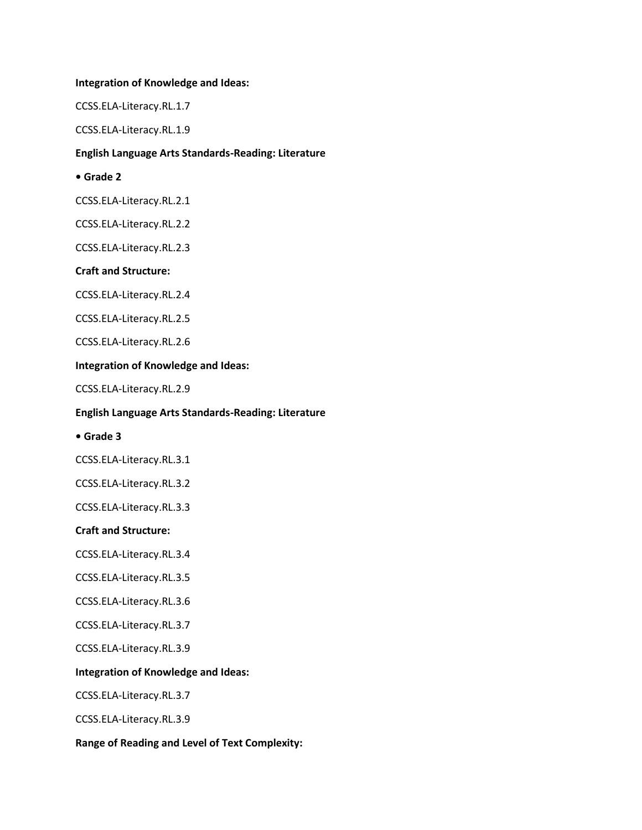## **Integration of Knowledge and Ideas:**

CCSS.ELA-Literacy.RL.1.7

CCSS.ELA-Literacy.RL.1.9

# **English Language Arts Standards-Reading: Literature**

# **• Grade 2**

CCSS.ELA-Literacy.RL.2.1

CCSS.ELA-Literacy.RL.2.2

CCSS.ELA-Literacy.RL.2.3

# **Craft and Structure:**

CCSS.ELA-Literacy.RL.2.4

CCSS.ELA-Literacy.RL.2.5

CCSS.ELA-Literacy.RL.2.6

## **Integration of Knowledge and Ideas:**

CCSS.ELA-Literacy.RL.2.9

## **English Language Arts Standards-Reading: Literature**

#### **• Grade 3**

CCSS.ELA-Literacy.RL.3.1

CCSS.ELA-Literacy.RL.3.2

CCSS.ELA-Literacy.RL.3.3

# **Craft and Structure:**

CCSS.ELA-Literacy.RL.3.4

CCSS.ELA-Literacy.RL.3.5

CCSS.ELA-Literacy.RL.3.6

CCSS.ELA-Literacy.RL.3.7

CCSS.ELA-Literacy.RL.3.9

# **Integration of Knowledge and Ideas:**

CCSS.ELA-Literacy.RL.3.7

CCSS.ELA-Literacy.RL.3.9

**Range of Reading and Level of Text Complexity:**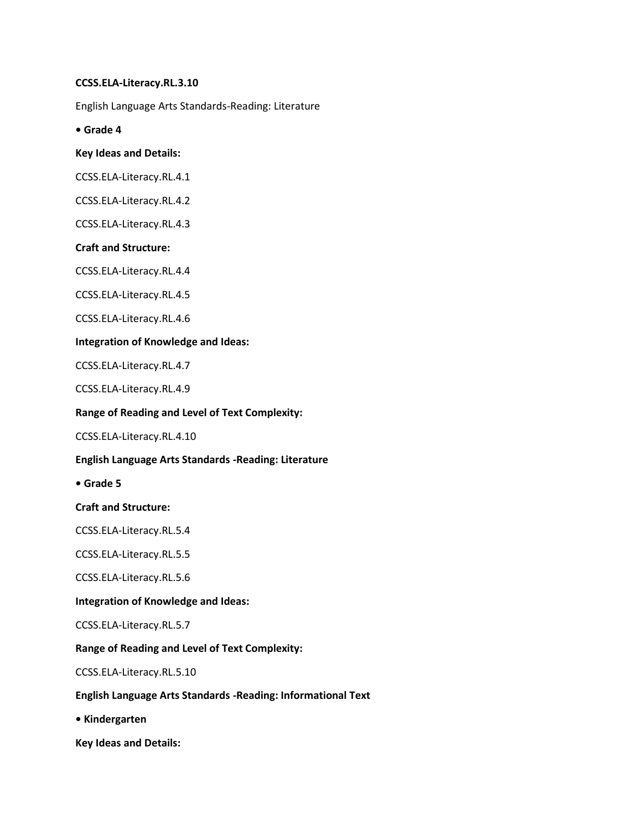# **CCSS.ELA-Literacy.RL.3.10**

English Language Arts Standards-Reading: Literature

**• Grade 4**

# **Key Ideas and Details:**

CCSS.ELA-Literacy.RL.4.1

CCSS.ELA-Literacy.RL.4.2

CCSS.ELA-Literacy.RL.4.3

# **Craft and Structure:**

CCSS.ELA-Literacy.RL.4.4

CCSS.ELA-Literacy.RL.4.5

CCSS.ELA-Literacy.RL.4.6

# **Integration of Knowledge and Ideas:**

CCSS.ELA-Literacy.RL.4.7

CCSS.ELA-Literacy.RL.4.9

# **Range of Reading and Level of Text Complexity:**

CCSS.ELA-Literacy.RL.4.10

# **English Language Arts Standards -Reading: Literature**

**• Grade 5**

# **Craft and Structure:**

CCSS.ELA-Literacy.RL.5.4

CCSS.ELA-Literacy.RL.5.5

CCSS.ELA-Literacy.RL.5.6

# **Integration of Knowledge and Ideas:**

CCSS.ELA-Literacy.RL.5.7

# **Range of Reading and Level of Text Complexity:**

CCSS.ELA-Literacy.RL.5.10

# **English Language Arts Standards -Reading: Informational Text**

**• Kindergarten**

**Key Ideas and Details:**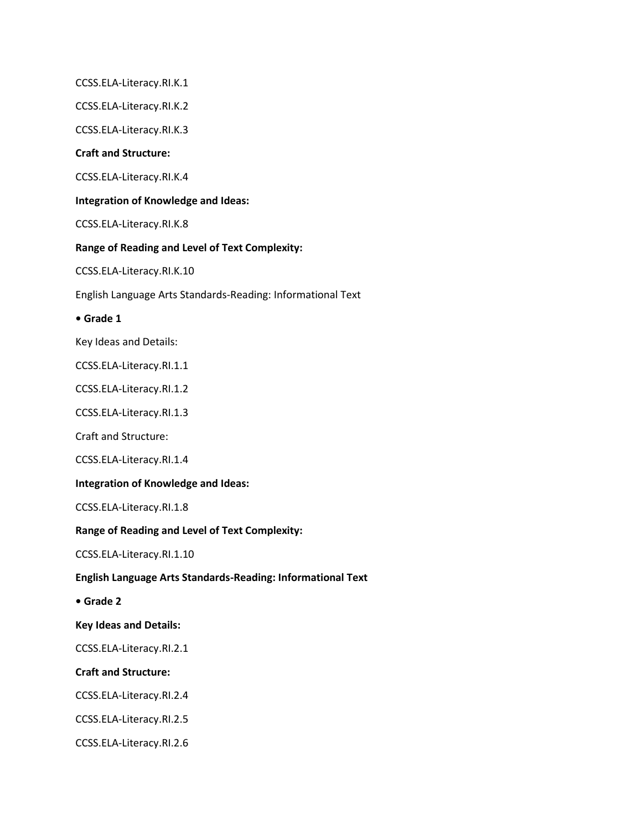CCSS.ELA-Literacy.RI.K.1

CCSS.ELA-Literacy.RI.K.2

CCSS.ELA-Literacy.RI.K.3

## **Craft and Structure:**

CCSS.ELA-Literacy.RI.K.4

## **Integration of Knowledge and Ideas:**

CCSS.ELA-Literacy.RI.K.8

# **Range of Reading and Level of Text Complexity:**

CCSS.ELA-Literacy.RI.K.10

English Language Arts Standards-Reading: Informational Text

**• Grade 1**

Key Ideas and Details:

CCSS.ELA-Literacy.RI.1.1

CCSS.ELA-Literacy.RI.1.2

CCSS.ELA-Literacy.RI.1.3

Craft and Structure:

CCSS.ELA-Literacy.RI.1.4

**Integration of Knowledge and Ideas:**

CCSS.ELA-Literacy.RI.1.8

**Range of Reading and Level of Text Complexity:**

CCSS.ELA-Literacy.RI.1.10

#### **English Language Arts Standards-Reading: Informational Text**

**• Grade 2**

**Key Ideas and Details:**

CCSS.ELA-Literacy.RI.2.1

## **Craft and Structure:**

CCSS.ELA-Literacy.RI.2.4

CCSS.ELA-Literacy.RI.2.5

CCSS.ELA-Literacy.RI.2.6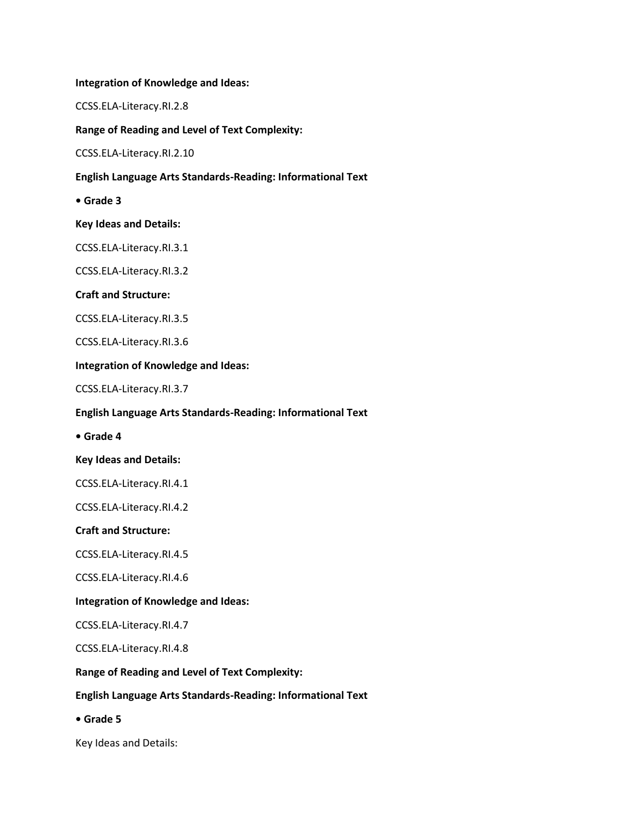**Integration of Knowledge and Ideas:**

CCSS.ELA-Literacy.RI.2.8

**Range of Reading and Level of Text Complexity:**

CCSS.ELA-Literacy.RI.2.10

**English Language Arts Standards-Reading: Informational Text**

**• Grade 3**

**Key Ideas and Details:**

CCSS.ELA-Literacy.RI.3.1

CCSS.ELA-Literacy.RI.3.2

# **Craft and Structure:**

CCSS.ELA-Literacy.RI.3.5

CCSS.ELA-Literacy.RI.3.6

## **Integration of Knowledge and Ideas:**

CCSS.ELA-Literacy.RI.3.7

## **English Language Arts Standards-Reading: Informational Text**

**• Grade 4**

#### **Key Ideas and Details:**

CCSS.ELA-Literacy.RI.4.1

CCSS.ELA-Literacy.RI.4.2

# **Craft and Structure:**

CCSS.ELA-Literacy.RI.4.5

CCSS.ELA-Literacy.RI.4.6

#### **Integration of Knowledge and Ideas:**

CCSS.ELA-Literacy.RI.4.7

CCSS.ELA-Literacy.RI.4.8

# **Range of Reading and Level of Text Complexity:**

# **English Language Arts Standards-Reading: Informational Text**

**• Grade 5**

Key Ideas and Details: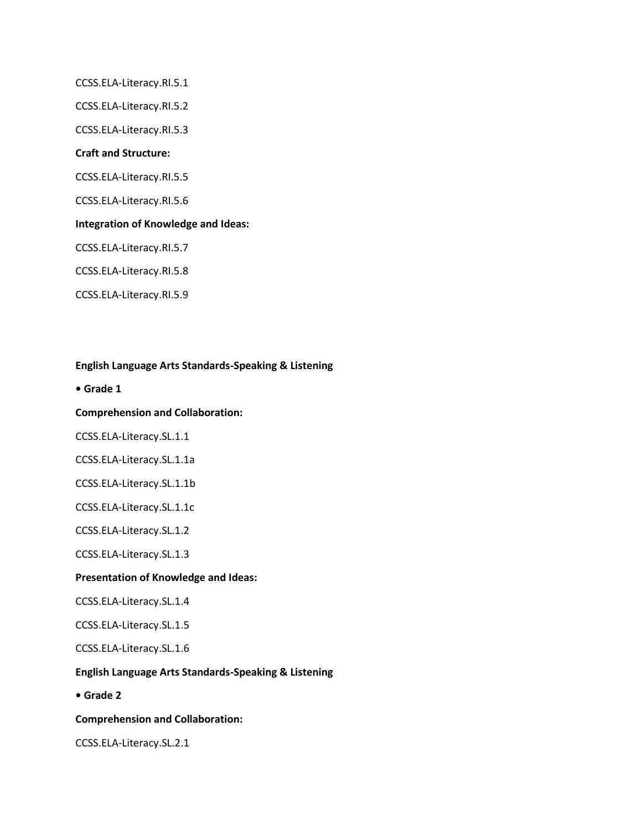CCSS.ELA-Literacy.RI.5.1 CCSS.ELA-Literacy.RI.5.2 CCSS.ELA-Literacy.RI.5.3 **Craft and Structure:** CCSS.ELA-Literacy.RI.5.5 CCSS.ELA-Literacy.RI.5.6 **Integration of Knowledge and Ideas:** CCSS.ELA-Literacy.RI.5.7 CCSS.ELA-Literacy.RI.5.8 CCSS.ELA-Literacy.RI.5.9

# **English Language Arts Standards-Speaking & Listening**

**• Grade 1**

## **Comprehension and Collaboration:**

CCSS.ELA-Literacy.SL.1.1

CCSS.ELA-Literacy.SL.1.1a

CCSS.ELA-Literacy.SL.1.1b

CCSS.ELA-Literacy.SL.1.1c

CCSS.ELA-Literacy.SL.1.2

CCSS.ELA-Literacy.SL.1.3

#### **Presentation of Knowledge and Ideas:**

CCSS.ELA-Literacy.SL.1.4

CCSS.ELA-Literacy.SL.1.5

CCSS.ELA-Literacy.SL.1.6

# **English Language Arts Standards-Speaking & Listening**

**• Grade 2**

# **Comprehension and Collaboration:**

CCSS.ELA-Literacy.SL.2.1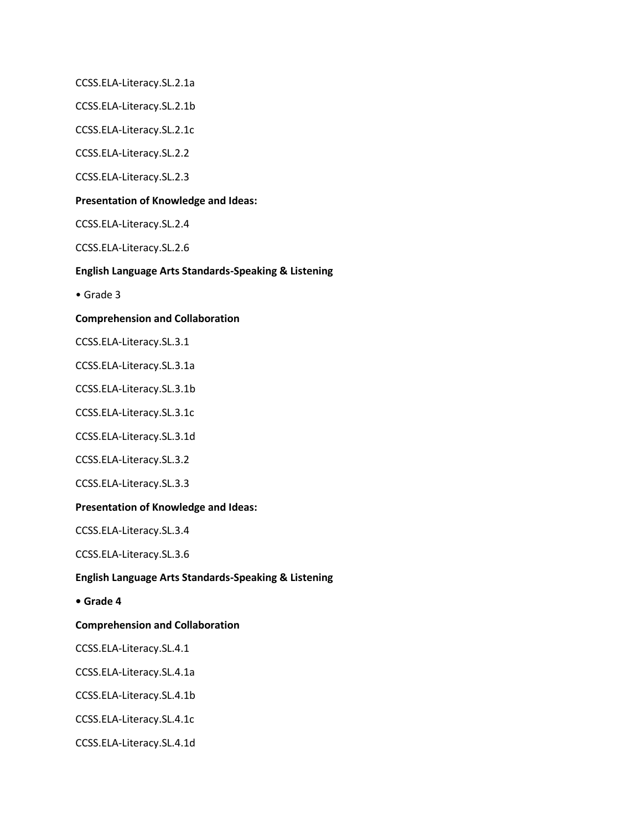CCSS.ELA-Literacy.SL.2.1a

CCSS.ELA-Literacy.SL.2.1b

CCSS.ELA-Literacy.SL.2.1c

CCSS.ELA-Literacy.SL.2.2

CCSS.ELA-Literacy.SL.2.3

## **Presentation of Knowledge and Ideas:**

CCSS.ELA-Literacy.SL.2.4

CCSS.ELA-Literacy.SL.2.6

## **English Language Arts Standards-Speaking & Listening**

• Grade 3

## **Comprehension and Collaboration**

CCSS.ELA-Literacy.SL.3.1

CCSS.ELA-Literacy.SL.3.1a

CCSS.ELA-Literacy.SL.3.1b

CCSS.ELA-Literacy.SL.3.1c

CCSS.ELA-Literacy.SL.3.1d

CCSS.ELA-Literacy.SL.3.2

CCSS.ELA-Literacy.SL.3.3

# **Presentation of Knowledge and Ideas:**

CCSS.ELA-Literacy.SL.3.4

CCSS.ELA-Literacy.SL.3.6

#### **English Language Arts Standards-Speaking & Listening**

**• Grade 4**

## **Comprehension and Collaboration**

CCSS.ELA-Literacy.SL.4.1

CCSS.ELA-Literacy.SL.4.1a

CCSS.ELA-Literacy.SL.4.1b

CCSS.ELA-Literacy.SL.4.1c

CCSS.ELA-Literacy.SL.4.1d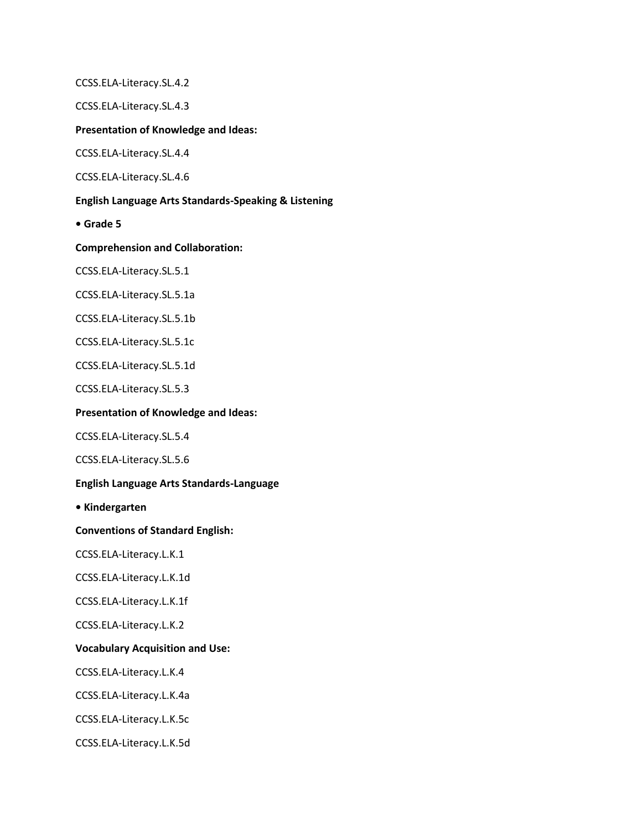CCSS.ELA-Literacy.SL.4.2

CCSS.ELA-Literacy.SL.4.3

## **Presentation of Knowledge and Ideas:**

CCSS.ELA-Literacy.SL.4.4

CCSS.ELA-Literacy.SL.4.6

## **English Language Arts Standards-Speaking & Listening**

**• Grade 5**

**Comprehension and Collaboration:**

CCSS.ELA-Literacy.SL.5.1

CCSS.ELA-Literacy.SL.5.1a

CCSS.ELA-Literacy.SL.5.1b

CCSS.ELA-Literacy.SL.5.1c

CCSS.ELA-Literacy.SL.5.1d

CCSS.ELA-Literacy.SL.5.3

#### **Presentation of Knowledge and Ideas:**

CCSS.ELA-Literacy.SL.5.4

CCSS.ELA-Literacy.SL.5.6

# **English Language Arts Standards-Language**

**• Kindergarten**

**Conventions of Standard English:**

CCSS.ELA-Literacy.L.K.1

CCSS.ELA-Literacy.L.K.1d

CCSS.ELA-Literacy.L.K.1f

CCSS.ELA-Literacy.L.K.2

## **Vocabulary Acquisition and Use:**

CCSS.ELA-Literacy.L.K.4

CCSS.ELA-Literacy.L.K.4a

CCSS.ELA-Literacy.L.K.5c

CCSS.ELA-Literacy.L.K.5d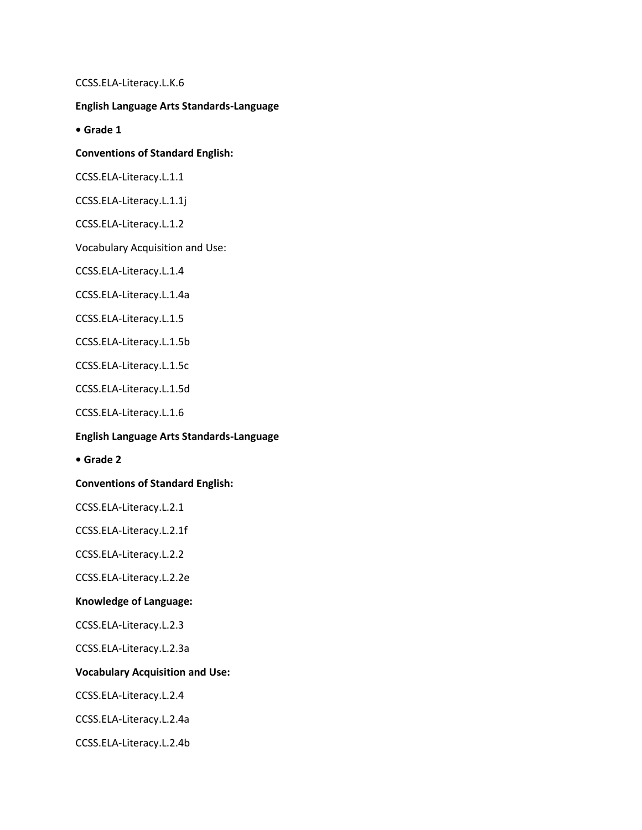CCSS.ELA-Literacy.L.K.6

# **English Language Arts Standards-Language**

**• Grade 1**

## **Conventions of Standard English:**

CCSS.ELA-Literacy.L.1.1

CCSS.ELA-Literacy.L.1.1j

CCSS.ELA-Literacy.L.1.2

Vocabulary Acquisition and Use:

CCSS.ELA-Literacy.L.1.4

CCSS.ELA-Literacy.L.1.4a

CCSS.ELA-Literacy.L.1.5

CCSS.ELA-Literacy.L.1.5b

CCSS.ELA-Literacy.L.1.5c

CCSS.ELA-Literacy.L.1.5d

CCSS.ELA-Literacy.L.1.6

## **English Language Arts Standards-Language**

**• Grade 2**

# **Conventions of Standard English:**

CCSS.ELA-Literacy.L.2.1

CCSS.ELA-Literacy.L.2.1f

CCSS.ELA-Literacy.L.2.2

CCSS.ELA-Literacy.L.2.2e

## **Knowledge of Language:**

CCSS.ELA-Literacy.L.2.3

CCSS.ELA-Literacy.L.2.3a

# **Vocabulary Acquisition and Use:**

CCSS.ELA-Literacy.L.2.4

CCSS.ELA-Literacy.L.2.4a

CCSS.ELA-Literacy.L.2.4b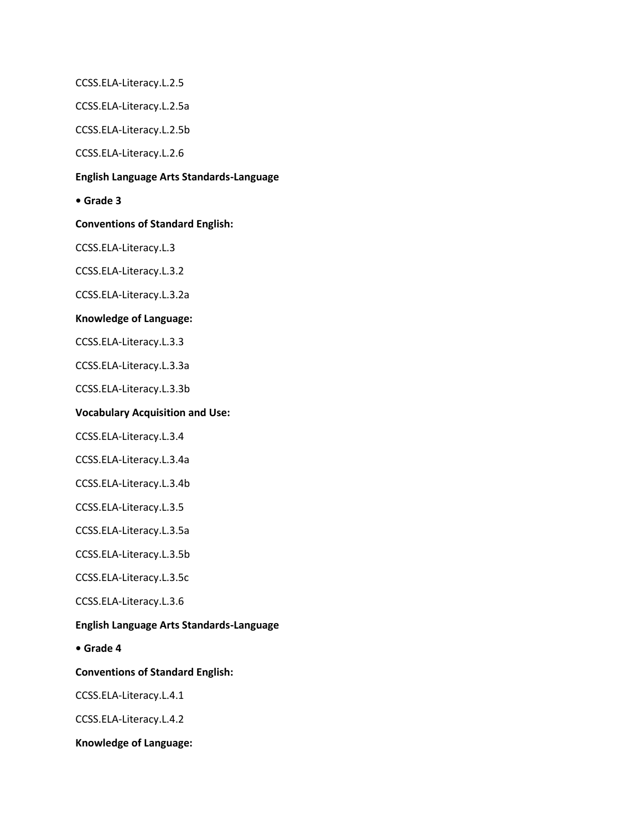CCSS.ELA-Literacy.L.2.5

CCSS.ELA-Literacy.L.2.5a

CCSS.ELA-Literacy.L.2.5b

CCSS.ELA-Literacy.L.2.6

# **English Language Arts Standards-Language**

**• Grade 3**

**Conventions of Standard English:**

CCSS.ELA-Literacy.L.3

CCSS.ELA-Literacy.L.3.2

CCSS.ELA-Literacy.L.3.2a

# **Knowledge of Language:**

CCSS.ELA-Literacy.L.3.3

CCSS.ELA-Literacy.L.3.3a

CCSS.ELA-Literacy.L.3.3b

# **Vocabulary Acquisition and Use:**

CCSS.ELA-Literacy.L.3.4

CCSS.ELA-Literacy.L.3.4a

CCSS.ELA-Literacy.L.3.4b

CCSS.ELA-Literacy.L.3.5

CCSS.ELA-Literacy.L.3.5a

CCSS.ELA-Literacy.L.3.5b

CCSS.ELA-Literacy.L.3.5c

CCSS.ELA-Literacy.L.3.6

# **English Language Arts Standards-Language**

**• Grade 4**

**Conventions of Standard English:**

CCSS.ELA-Literacy.L.4.1

CCSS.ELA-Literacy.L.4.2

**Knowledge of Language:**